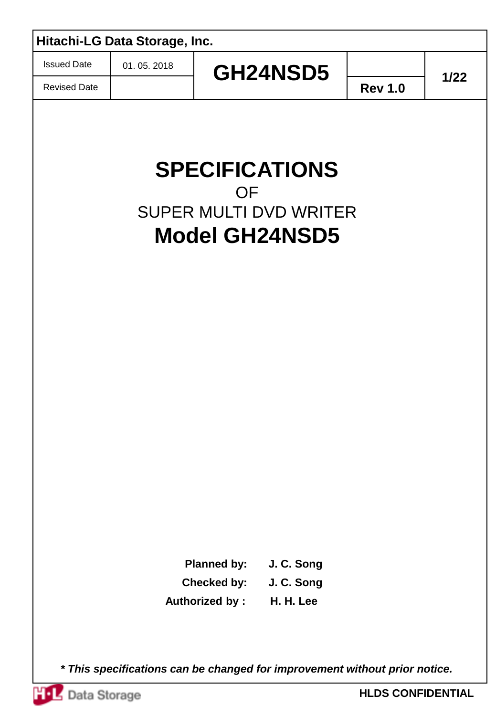|                     | Hitachi-LG Data Storage, Inc. |                       |                                                                                 |                |        |
|---------------------|-------------------------------|-----------------------|---------------------------------------------------------------------------------|----------------|--------|
| <b>Issued Date</b>  | 01.05.2018                    |                       | GH24NSD5                                                                        |                | $1/22$ |
| <b>Revised Date</b> |                               |                       |                                                                                 | <b>Rev 1.0</b> |        |
|                     |                               | <b>OF</b>             | <b>SPECIFICATIONS</b><br><b>SUPER MULTI DVD WRITER</b><br><b>Model GH24NSD5</b> |                |        |
|                     |                               | <b>Planned by:</b>    | J. C. Song                                                                      |                |        |
|                     |                               | <b>Checked by:</b>    | J. C. Song                                                                      |                |        |
|                     |                               | <b>Authorized by:</b> | H. H. Lee                                                                       |                |        |
|                     |                               |                       |                                                                                 |                |        |

*\* This specifications can be changed for improvement without prior notice.*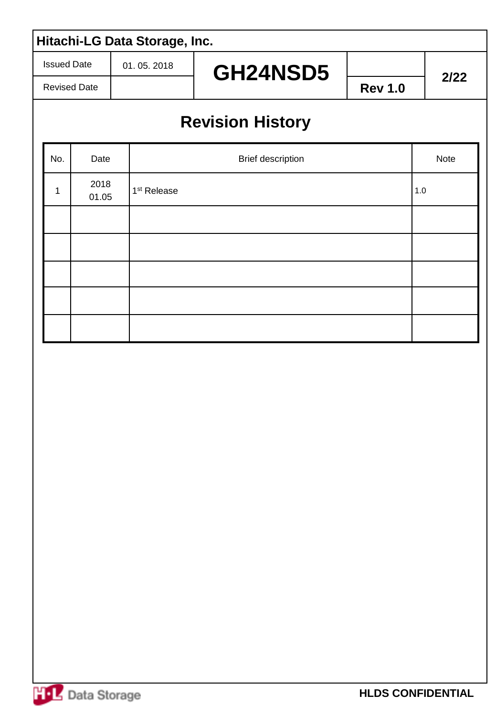Issued Date

Revised Date

#### 01. 05. 2018

GH24NSD5 **<u>2/22</u>** 

**Rev 1.0**

## **Revision History**

| No. | Date          | Brief description       | Note  |
|-----|---------------|-------------------------|-------|
| 1   | 2018<br>01.05 | 1 <sup>st</sup> Release | $1.0$ |
|     |               |                         |       |
|     |               |                         |       |
|     |               |                         |       |
|     |               |                         |       |
|     |               |                         |       |

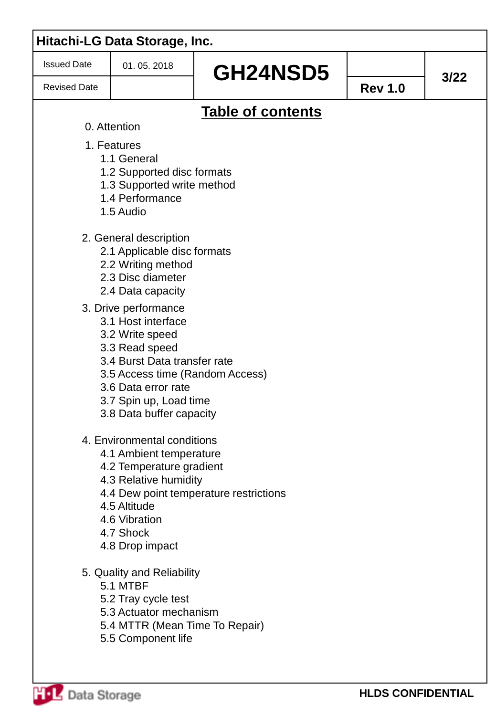| <b>Issued Date</b>  | 01.05.2018                                                      |                                        |                |        |
|---------------------|-----------------------------------------------------------------|----------------------------------------|----------------|--------|
| <b>Revised Date</b> |                                                                 | GH24NSD5                               | <b>Rev 1.0</b> | $3/22$ |
|                     |                                                                 | <b>Table of contents</b>               |                |        |
|                     | 0. Attention                                                    |                                        |                |        |
|                     | 1. Features                                                     |                                        |                |        |
|                     | 1.1 General                                                     |                                        |                |        |
|                     | 1.2 Supported disc formats<br>1.3 Supported write method        |                                        |                |        |
|                     | 1.4 Performance                                                 |                                        |                |        |
|                     | 1.5 Audio                                                       |                                        |                |        |
|                     | 2. General description                                          |                                        |                |        |
|                     | 2.1 Applicable disc formats                                     |                                        |                |        |
|                     | 2.2 Writing method<br>2.3 Disc diameter                         |                                        |                |        |
|                     | 2.4 Data capacity                                               |                                        |                |        |
|                     | 3. Drive performance                                            |                                        |                |        |
|                     | 3.1 Host interface                                              |                                        |                |        |
|                     | 3.2 Write speed                                                 |                                        |                |        |
|                     | 3.3 Read speed                                                  |                                        |                |        |
|                     | 3.4 Burst Data transfer rate<br>3.5 Access time (Random Access) |                                        |                |        |
|                     | 3.6 Data error rate                                             |                                        |                |        |
|                     | 3.7 Spin up, Load time                                          |                                        |                |        |
|                     | 3.8 Data buffer capacity                                        |                                        |                |        |
|                     | 4. Environmental conditions                                     |                                        |                |        |
|                     | 4.1 Ambient temperature                                         |                                        |                |        |
|                     | 4.2 Temperature gradient<br>4.3 Relative humidity               |                                        |                |        |
|                     |                                                                 | 4.4 Dew point temperature restrictions |                |        |
|                     | 4.5 Altitude                                                    |                                        |                |        |
|                     | 4.6 Vibration                                                   |                                        |                |        |
|                     | 4.7 Shock<br>4.8 Drop impact                                    |                                        |                |        |
|                     |                                                                 |                                        |                |        |
|                     | 5. Quality and Reliability                                      |                                        |                |        |
|                     | 5.1 MTBF                                                        |                                        |                |        |
|                     | 5.2 Tray cycle test<br>5.3 Actuator mechanism                   |                                        |                |        |
|                     | 5.4 MTTR (Mean Time To Repair)                                  |                                        |                |        |
|                     | 5.5 Component life                                              |                                        |                |        |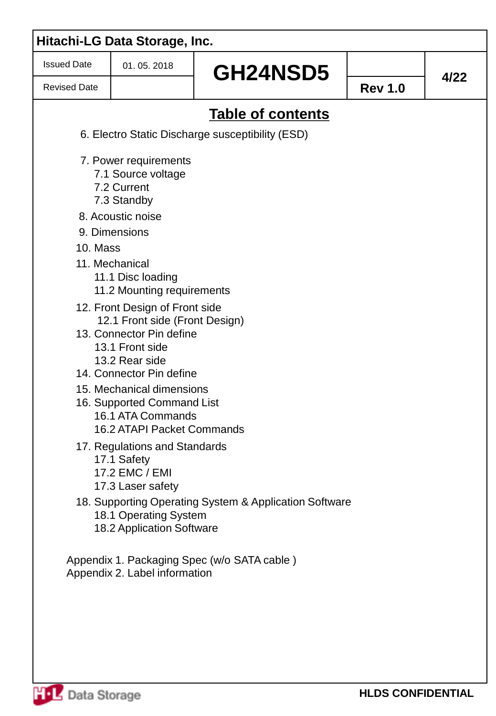| <b>Issued Date</b>  | 01.05.2018                                                                                                                                                    | GH24NSD5                                               |                |      |
|---------------------|---------------------------------------------------------------------------------------------------------------------------------------------------------------|--------------------------------------------------------|----------------|------|
| <b>Revised Date</b> |                                                                                                                                                               |                                                        | <b>Rev 1.0</b> | 4/22 |
|                     |                                                                                                                                                               | Table of contents                                      |                |      |
|                     |                                                                                                                                                               | 6. Electro Static Discharge susceptibility (ESD)       |                |      |
|                     | 7. Power requirements<br>7.1 Source voltage<br>7.2 Current<br>7.3 Standby                                                                                     |                                                        |                |      |
|                     | 8. Acoustic noise                                                                                                                                             |                                                        |                |      |
|                     | 9. Dimensions                                                                                                                                                 |                                                        |                |      |
| 10. Mass            | 11. Mechanical<br>11.1 Disc loading<br>11.2 Mounting requirements                                                                                             |                                                        |                |      |
|                     | 12. Front Design of Front side<br>12.1 Front side (Front Design)<br>13. Connector Pin define<br>13.1 Front side<br>13.2 Rear side<br>14. Connector Pin define |                                                        |                |      |
|                     | 15. Mechanical dimensions<br>16. Supported Command List<br>16.1 ATA Commands<br>16.2 ATAPI Packet Commands                                                    |                                                        |                |      |
|                     | 17. Regulations and Standards<br>17.1 Safety<br>17.2 EMC / EMI<br>17.3 Laser safety                                                                           |                                                        |                |      |
|                     | 18.1 Operating System<br>18.2 Application Software                                                                                                            | 18. Supporting Operating System & Application Software |                |      |
|                     | Appendix 2. Label information                                                                                                                                 | Appendix 1. Packaging Spec (w/o SATA cable)            |                |      |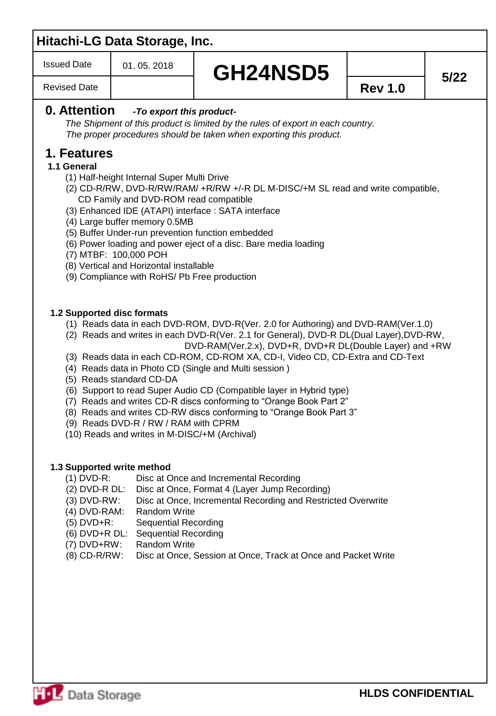Issued Date

## **GH24NSD5**  $\begin{array}{|c|c|c|}\n\hline\n\vdots\n\end{array}$  5/22

Revised Date

#### **0. Attention** *-To export this product-*

*The Shipment of this product is limited by the rules of export in each country. The proper procedures should be taken when exporting this product.*

#### **1. Features**

#### **1.1 General**

- (1) Half-height Internal Super Multi Drive
- (2) CD-R/RW, DVD-R/RW/RAM/ +R/RW +/-R DL M-DISC/+M SL read and write compatible, CD Family and DVD-ROM read compatible
- (3) Enhanced IDE (ATAPI) interface : SATA interface
- (4) Large buffer memory 0.5MB
- (5) Buffer Under-run prevention function embedded
- (6) Power loading and power eject of a disc. Bare media loading
- (7) MTBF: 100,000 POH
- (8) Vertical and Horizontal installable
- (9) Compliance with RoHS/ Pb Free production

#### **1.2 Supported disc formats**

- (1) Reads data in each DVD-ROM, DVD-R(Ver. 2.0 for Authoring) and DVD-RAM(Ver.1.0)
- (2) Reads and writes in each DVD-R(Ver. 2.1 for General), DVD-R DL(Dual Layer),DVD-RW, DVD-RAM(Ver.2.x), DVD+R, DVD+R DL(Double Layer) and +RW
- (3) Reads data in each CD-ROM, CD-ROM XA, CD-I, Video CD, CD-Extra and CD-Text
- (4) Reads data in Photo CD (Single and Multi session )
- (5) Reads standard CD-DA
- (6) Support to read Super Audio CD (Compatible layer in Hybrid type)
- (7) Reads and writes CD-R discs conforming to "Orange Book Part 2"
- (8) Reads and writes CD-RW discs conforming to "Orange Book Part 3"
- (9) Reads DVD-R / RW / RAM with CPRM
- (10) Reads and writes in M-DISC/+M (Archival)

#### **1.3 Supported write method**

- (1) DVD-R: Disc at Once and Incremental Recording
- (2) DVD-R DL: Disc at Once, Format 4 (Layer Jump Recording)
- (3) DVD-RW: Disc at Once, Incremental Recording and Restricted Overwrite
- (4) DVD-RAM: Random Write
- (5) DVD+R: Sequential Recording
- (6) DVD+R DL: Sequential Recording
- (7) DVD+RW: Random Write
- (8) CD-R/RW: Disc at Once, Session at Once, Track at Once and Packet Write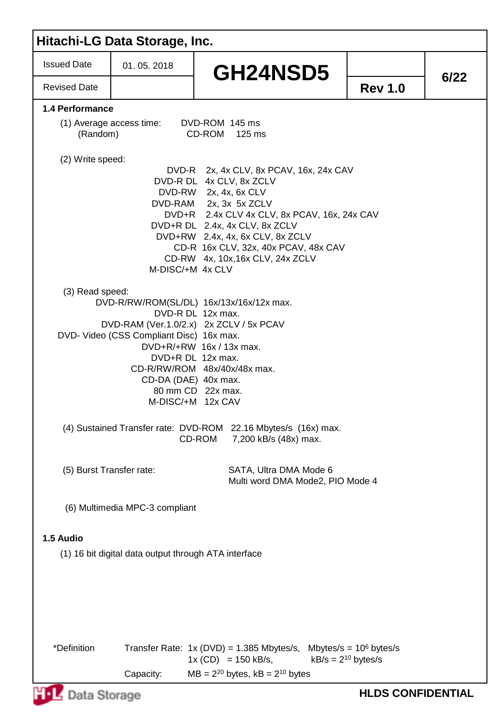| <b>Issued Date</b><br>01.05.2018<br>GH24NSD5<br>6/22<br><b>Revised Date</b><br><b>Rev 1.0</b><br>1.4 Performance<br>(1) Average access time:<br>DVD-ROM 145 ms<br>(Random)<br>CD-ROM 125 ms<br>(2) Write speed:<br>DVD-R 2x, 4x CLV, 8x PCAV, 16x, 24x CAV<br>DVD-R DL 4x CLV, 8x ZCLV<br>DVD-RW 2x, 4x, 6x CLV<br>DVD-RAM 2x, 3x 5x ZCLV<br>DVD+R 2.4x CLV 4x CLV, 8x PCAV, 16x, 24x CAV<br>DVD+R DL 2.4x, 4x CLV, 8x ZCLV<br>DVD+RW 2.4x, 4x, 6x CLV, 8x ZCLV<br>CD-R 16x CLV, 32x, 40x PCAV, 48x CAV<br>CD-RW 4x, 10x, 16x CLV, 24x ZCLV<br>M-DISC/+M 4x CLV<br>(3) Read speed:<br>DVD-R/RW/ROM(SL/DL) 16x/13x/16x/12x max.<br>DVD-R DL 12x max.<br>DVD-RAM (Ver.1.0/2.x) 2x ZCLV / 5x PCAV<br>DVD- Video (CSS Compliant Disc) 16x max.<br>DVD+R/+RW 16x / 13x max.<br>DVD+R DL 12x max.<br>CD-R/RW/ROM 48x/40x/48x max.<br>CD-DA (DAE) 40x max.<br>80 mm CD 22x max.<br>M-DISC/+M 12x CAV<br>(4) Sustained Transfer rate: DVD-ROM 22.16 Mbytes/s (16x) max.<br>CD-ROM 7,200 kB/s (48x) max.<br>(5) Burst Transfer rate:<br>SATA, Ultra DMA Mode 6<br>Multi word DMA Mode2, PIO Mode 4<br>(6) Multimedia MPC-3 compliant<br>(1) 16 bit digital data output through ATA interface<br>*Definition<br>Transfer Rate: $1x (DVD) = 1.385$ Mbytes/s, Mbytes/s = $10^6$ bytes/s<br>$1x (CD) = 150 kB/s,$<br>$kB/s = 2^{10}$ bytes/s<br>$MB = 2^{20}$ bytes, $kB = 2^{10}$ bytes<br>Capacity:<br><b>HLDS CONFIDENTIAL</b><br>Data Storage |           | Hitachi-LG Data Storage, Inc. |  |  |
|--------------------------------------------------------------------------------------------------------------------------------------------------------------------------------------------------------------------------------------------------------------------------------------------------------------------------------------------------------------------------------------------------------------------------------------------------------------------------------------------------------------------------------------------------------------------------------------------------------------------------------------------------------------------------------------------------------------------------------------------------------------------------------------------------------------------------------------------------------------------------------------------------------------------------------------------------------------------------------------------------------------------------------------------------------------------------------------------------------------------------------------------------------------------------------------------------------------------------------------------------------------------------------------------------------------------------------------------------------------------------------------------------------------------------------------|-----------|-------------------------------|--|--|
|                                                                                                                                                                                                                                                                                                                                                                                                                                                                                                                                                                                                                                                                                                                                                                                                                                                                                                                                                                                                                                                                                                                                                                                                                                                                                                                                                                                                                                      |           |                               |  |  |
|                                                                                                                                                                                                                                                                                                                                                                                                                                                                                                                                                                                                                                                                                                                                                                                                                                                                                                                                                                                                                                                                                                                                                                                                                                                                                                                                                                                                                                      |           |                               |  |  |
|                                                                                                                                                                                                                                                                                                                                                                                                                                                                                                                                                                                                                                                                                                                                                                                                                                                                                                                                                                                                                                                                                                                                                                                                                                                                                                                                                                                                                                      |           |                               |  |  |
|                                                                                                                                                                                                                                                                                                                                                                                                                                                                                                                                                                                                                                                                                                                                                                                                                                                                                                                                                                                                                                                                                                                                                                                                                                                                                                                                                                                                                                      |           |                               |  |  |
|                                                                                                                                                                                                                                                                                                                                                                                                                                                                                                                                                                                                                                                                                                                                                                                                                                                                                                                                                                                                                                                                                                                                                                                                                                                                                                                                                                                                                                      |           |                               |  |  |
|                                                                                                                                                                                                                                                                                                                                                                                                                                                                                                                                                                                                                                                                                                                                                                                                                                                                                                                                                                                                                                                                                                                                                                                                                                                                                                                                                                                                                                      |           |                               |  |  |
|                                                                                                                                                                                                                                                                                                                                                                                                                                                                                                                                                                                                                                                                                                                                                                                                                                                                                                                                                                                                                                                                                                                                                                                                                                                                                                                                                                                                                                      |           |                               |  |  |
|                                                                                                                                                                                                                                                                                                                                                                                                                                                                                                                                                                                                                                                                                                                                                                                                                                                                                                                                                                                                                                                                                                                                                                                                                                                                                                                                                                                                                                      |           |                               |  |  |
|                                                                                                                                                                                                                                                                                                                                                                                                                                                                                                                                                                                                                                                                                                                                                                                                                                                                                                                                                                                                                                                                                                                                                                                                                                                                                                                                                                                                                                      |           |                               |  |  |
|                                                                                                                                                                                                                                                                                                                                                                                                                                                                                                                                                                                                                                                                                                                                                                                                                                                                                                                                                                                                                                                                                                                                                                                                                                                                                                                                                                                                                                      | 1.5 Audio |                               |  |  |
|                                                                                                                                                                                                                                                                                                                                                                                                                                                                                                                                                                                                                                                                                                                                                                                                                                                                                                                                                                                                                                                                                                                                                                                                                                                                                                                                                                                                                                      |           |                               |  |  |
|                                                                                                                                                                                                                                                                                                                                                                                                                                                                                                                                                                                                                                                                                                                                                                                                                                                                                                                                                                                                                                                                                                                                                                                                                                                                                                                                                                                                                                      |           |                               |  |  |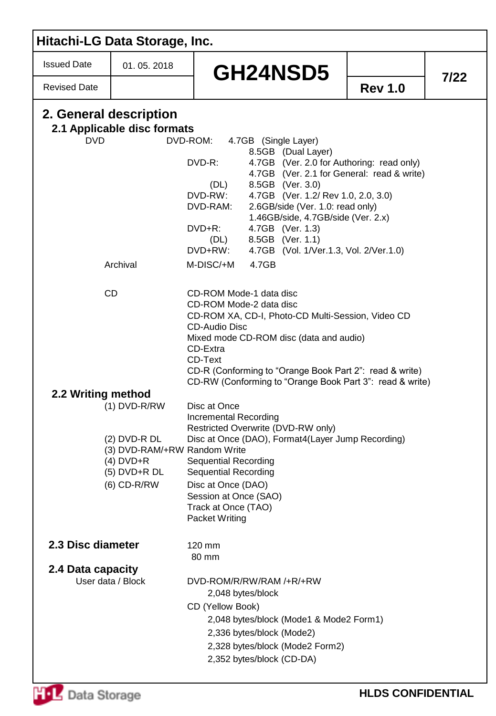| 01.05.2018                                                                                               |                                                                                            |                                                                                                                                                                                                                                                                                                                                                                                                                                                                                                                                                                                                                                                   |                                                                                                                                                                                                                                                                                                                                                                                                                                                                                                                                                                           |
|----------------------------------------------------------------------------------------------------------|--------------------------------------------------------------------------------------------|---------------------------------------------------------------------------------------------------------------------------------------------------------------------------------------------------------------------------------------------------------------------------------------------------------------------------------------------------------------------------------------------------------------------------------------------------------------------------------------------------------------------------------------------------------------------------------------------------------------------------------------------------|---------------------------------------------------------------------------------------------------------------------------------------------------------------------------------------------------------------------------------------------------------------------------------------------------------------------------------------------------------------------------------------------------------------------------------------------------------------------------------------------------------------------------------------------------------------------------|
|                                                                                                          | GH24NSD5                                                                                   |                                                                                                                                                                                                                                                                                                                                                                                                                                                                                                                                                                                                                                                   |                                                                                                                                                                                                                                                                                                                                                                                                                                                                                                                                                                           |
|                                                                                                          |                                                                                            | <b>Rev 1.0</b>                                                                                                                                                                                                                                                                                                                                                                                                                                                                                                                                                                                                                                    | 7/22                                                                                                                                                                                                                                                                                                                                                                                                                                                                                                                                                                      |
| 2. General description                                                                                   | 4.7GB (Single Layer)<br>8.5GB (Dual Layer)<br>8.5GB (Ver. 3.0)<br>(DL)<br>4.7GB (Ver. 1.3) |                                                                                                                                                                                                                                                                                                                                                                                                                                                                                                                                                                                                                                                   |                                                                                                                                                                                                                                                                                                                                                                                                                                                                                                                                                                           |
| Archival                                                                                                 | 4.7GB                                                                                      |                                                                                                                                                                                                                                                                                                                                                                                                                                                                                                                                                                                                                                                   |                                                                                                                                                                                                                                                                                                                                                                                                                                                                                                                                                                           |
| <b>CD</b>                                                                                                |                                                                                            |                                                                                                                                                                                                                                                                                                                                                                                                                                                                                                                                                                                                                                                   |                                                                                                                                                                                                                                                                                                                                                                                                                                                                                                                                                                           |
| 2.2 Writing method<br>$(1)$ DVD-R/RW<br>$(2)$ DVD-R DL<br>$(4)$ DVD+R<br>$(5)$ DVD+R DL<br>$(6)$ CD-R/RW |                                                                                            |                                                                                                                                                                                                                                                                                                                                                                                                                                                                                                                                                                                                                                                   |                                                                                                                                                                                                                                                                                                                                                                                                                                                                                                                                                                           |
| 2.3 Disc diameter<br>2.4 Data capacity<br>User data / Block                                              | 80 mm<br>2,048 bytes/block<br>2,336 bytes/block (Mode2)                                    |                                                                                                                                                                                                                                                                                                                                                                                                                                                                                                                                                                                                                                                   |                                                                                                                                                                                                                                                                                                                                                                                                                                                                                                                                                                           |
|                                                                                                          |                                                                                            | 2.1 Applicable disc formats<br>DVD-ROM:<br>DVD-R:<br>DVD-RW:<br>DVD-RAM:<br>DVD+R:<br>8.5GB (Ver. 1.1)<br>(DL)<br>DVD+RW:<br>M-DISC/+M<br>CD-ROM Mode-1 data disc<br>CD-ROM Mode-2 data disc<br><b>CD-Audio Disc</b><br>CD-Extra<br>CD-Text<br>Disc at Once<br><b>Incremental Recording</b><br>Restricted Overwrite (DVD-RW only)<br>(3) DVD-RAM/+RW Random Write<br><b>Sequential Recording</b><br><b>Sequential Recording</b><br>Disc at Once (DAO)<br>Session at Once (SAO)<br>Track at Once (TAO)<br>Packet Writing<br>120 mm<br>DVD-ROM/R/RW/RAM /+R/+RW<br>CD (Yellow Book)<br>2,328 bytes/block (Mode2 Form2)<br>2,352 bytes/block (CD-DA) | 4.7GB (Ver. 2.0 for Authoring: read only)<br>4.7GB (Ver. 2.1 for General: read & write)<br>4.7GB (Ver. 1.2/ Rev 1.0, 2.0, 3.0)<br>2.6GB/side (Ver. 1.0: read only)<br>1.46GB/side, 4.7GB/side (Ver. 2.x)<br>4.7GB (Vol. 1/Ver.1.3, Vol. 2/Ver.1.0)<br>CD-ROM XA, CD-I, Photo-CD Multi-Session, Video CD<br>Mixed mode CD-ROM disc (data and audio)<br>CD-R (Conforming to "Orange Book Part 2": read & write)<br>CD-RW (Conforming to "Orange Book Part 3": read & write)<br>Disc at Once (DAO), Format4(Layer Jump Recording)<br>2,048 bytes/block (Mode1 & Mode2 Form1) |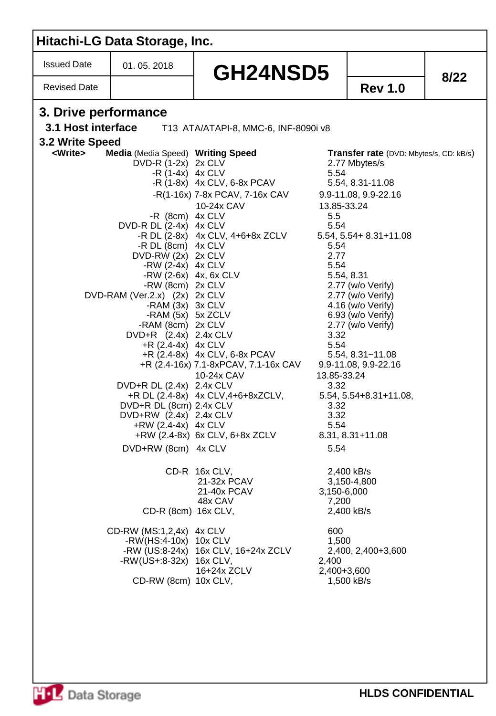|                      | Hitachi-LG Data Storage, Inc.                                                                                                                                                                                                                                                                                                                                                                                                                                                                                                      |                                                                                                                                                                                                                                                                                                           |                                                                                                                                   |                                                                                                                                                                                                                                                                                                                                                                        |      |
|----------------------|------------------------------------------------------------------------------------------------------------------------------------------------------------------------------------------------------------------------------------------------------------------------------------------------------------------------------------------------------------------------------------------------------------------------------------------------------------------------------------------------------------------------------------|-----------------------------------------------------------------------------------------------------------------------------------------------------------------------------------------------------------------------------------------------------------------------------------------------------------|-----------------------------------------------------------------------------------------------------------------------------------|------------------------------------------------------------------------------------------------------------------------------------------------------------------------------------------------------------------------------------------------------------------------------------------------------------------------------------------------------------------------|------|
| <b>Issued Date</b>   | 01.05.2018                                                                                                                                                                                                                                                                                                                                                                                                                                                                                                                         | <b>GH24NSD5</b>                                                                                                                                                                                                                                                                                           |                                                                                                                                   |                                                                                                                                                                                                                                                                                                                                                                        | 8/22 |
| <b>Revised Date</b>  |                                                                                                                                                                                                                                                                                                                                                                                                                                                                                                                                    |                                                                                                                                                                                                                                                                                                           |                                                                                                                                   | <b>Rev 1.0</b>                                                                                                                                                                                                                                                                                                                                                         |      |
| 3. Drive performance |                                                                                                                                                                                                                                                                                                                                                                                                                                                                                                                                    |                                                                                                                                                                                                                                                                                                           |                                                                                                                                   |                                                                                                                                                                                                                                                                                                                                                                        |      |
| 3.1 Host interface   |                                                                                                                                                                                                                                                                                                                                                                                                                                                                                                                                    | T13 ATA/ATAPI-8, MMC-6, INF-8090i v8                                                                                                                                                                                                                                                                      |                                                                                                                                   |                                                                                                                                                                                                                                                                                                                                                                        |      |
| 3.2 Write Speed      |                                                                                                                                                                                                                                                                                                                                                                                                                                                                                                                                    |                                                                                                                                                                                                                                                                                                           |                                                                                                                                   |                                                                                                                                                                                                                                                                                                                                                                        |      |
| <write></write>      | Media (Media Speed) Writing Speed<br>DVD-R (1-2x) 2x CLV<br>$-R(1-4x)$ 4x CLV<br>-R $(8cm)$ 4x CLV<br>DVD-R DL (2-4x) 4x CLV<br>-R DL (8cm) 4x CLV<br>DVD-RW $(2x)$ 2x CLV<br>-RW $(2-4x)$ 4x CLV<br>-RW $(2-6x)$ 4x, 6x CLV<br>-RW (8cm) 2x CLV<br>DVD-RAM (Ver.2.x) (2x) 2x CLV<br>-RAM $(3x)$ 3x CLV<br>-RAM (5x) 5x ZCLV<br>-RAM (8cm) 2x CLV<br>DVD+R (2.4x) 2.4x CLV<br>$+R$ (2.4-4x) 4x CLV<br>DVD+R DL (2.4x) 2.4x CLV<br>DVD+R DL (8cm) 2.4x CLV<br>DVD+RW (2.4x) 2.4x CLV<br>$+RW(2.4-4x)$ 4x CLV<br>DVD+RW (8cm) 4x CLV | $-R(1-8x)$ 4x CLV, 6-8x PCAV<br>-R(1-16x) 7-8x PCAV, 7-16x CAV<br>10-24x CAV<br>-R DL $(2-8x)$ 4x CLV, 4+6+8x ZCLV<br>+R (2.4-8x) 4x CLV, 6-8x PCAV<br>+R (2.4-16x) 7.1-8xPCAV, 7.1-16x CAV<br>10-24x CAV<br>$+R$ DL $(2.4-8x)$ 4x CLV, $4+6+8xZCLV$ ,<br>+RW (2.4-8x) 6x CLV, 6+8x ZCLV<br>CD-R 16x CLV, | 5.54<br>13.85-33.24<br>5.5<br>5.54<br>5.54<br>2.77<br>5.54<br>3.32<br>5.54<br>13.85-33.24<br>3.32<br>3.32<br>3.32<br>5.54<br>5.54 | Transfer rate (DVD: Mbytes/s, CD: kB/s)<br>2.77 Mbytes/s<br>5.54, 8.31-11.08<br>9.9-11.08, 9.9-22.16<br>$5.54, 5.54 + 8.31 + 11.08$<br>5.54, 8.31<br>2.77 (w/o Verify)<br>2.77 (w/o Verify)<br>4.16 (w/o Verify)<br>6.93 (w/o Verify)<br>2.77 (w/o Verify)<br>$5.54, 8.31 - 11.08$<br>9.9-11.08, 9.9-22.16<br>5.54, 5.54+8.31+11.08,<br>8.31, 8.31+11.08<br>2,400 kB/s |      |
|                      | CD-R (8cm) 16x CLV,                                                                                                                                                                                                                                                                                                                                                                                                                                                                                                                | 21-32x PCAV<br>21-40x PCAV<br>48x CAV                                                                                                                                                                                                                                                                     | 3,150-6,000<br>7,200                                                                                                              | 3,150-4,800<br>2,400 kB/s                                                                                                                                                                                                                                                                                                                                              |      |
|                      | CD-RW (MS:1,2,4x) 4x CLV<br>-RW(HS:4-10x) 10x CLV<br>-RW(US+:8-32x) 16x CLV,<br>CD-RW (8cm) 10x CLV,                                                                                                                                                                                                                                                                                                                                                                                                                               | -RW (US:8-24x) 16x CLV, 16+24x ZCLV<br>16+24x ZCLV                                                                                                                                                                                                                                                        | 600<br>1,500<br>2,400<br>2,400+3,600                                                                                              | 2,400, 2,400+3,600<br>1,500 kB/s                                                                                                                                                                                                                                                                                                                                       |      |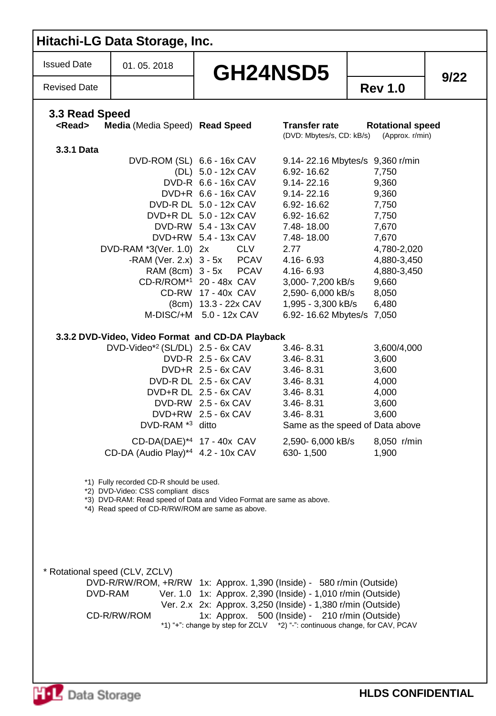| <b>Issued Date</b>              | 01.05.2018                                                                                                                                                                                                                                                                                                                                                                                                                                          | GH24NSD5                                                                                                                                                                                                                                                                                                                                                                                                                                                                                                                    |                                                                                                                                                                                                                                                                                                                                                                                               |                                                                                                                                                                                                                                                                                                        | 9/22 |
|---------------------------------|-----------------------------------------------------------------------------------------------------------------------------------------------------------------------------------------------------------------------------------------------------------------------------------------------------------------------------------------------------------------------------------------------------------------------------------------------------|-----------------------------------------------------------------------------------------------------------------------------------------------------------------------------------------------------------------------------------------------------------------------------------------------------------------------------------------------------------------------------------------------------------------------------------------------------------------------------------------------------------------------------|-----------------------------------------------------------------------------------------------------------------------------------------------------------------------------------------------------------------------------------------------------------------------------------------------------------------------------------------------------------------------------------------------|--------------------------------------------------------------------------------------------------------------------------------------------------------------------------------------------------------------------------------------------------------------------------------------------------------|------|
| <b>Revised Date</b>             |                                                                                                                                                                                                                                                                                                                                                                                                                                                     |                                                                                                                                                                                                                                                                                                                                                                                                                                                                                                                             |                                                                                                                                                                                                                                                                                                                                                                                               | <b>Rev 1.0</b>                                                                                                                                                                                                                                                                                         |      |
| 3.3 Read Speed<br><read></read> | Media (Media Speed) Read Speed                                                                                                                                                                                                                                                                                                                                                                                                                      |                                                                                                                                                                                                                                                                                                                                                                                                                                                                                                                             | <b>Transfer rate</b><br>(DVD: Mbytes/s, CD: kB/s)                                                                                                                                                                                                                                                                                                                                             | <b>Rotational speed</b><br>(Approx. r/min)                                                                                                                                                                                                                                                             |      |
| 3.3.1 Data                      | DVD-RAM *3(Ver. 1.0) 2x<br>RAM (8cm) 3 - 5x<br>3.3.2 DVD-Video, Video Format and CD-DA Playback<br>DVD-Video*2 (SL/DL) 2.5 - 6x CAV<br>DVD-RAM <sup>*3</sup> ditto<br>$CD-DA(DAE)*4$ 17 - 40x CAV<br>CD-DA (Audio Play)*4 4.2 - 10x CAV<br>*1) Fully recorded CD-R should be used.<br>*2) DVD-Video: CSS compliant discs<br>*3) DVD-RAM: Read speed of Data and Video Format are same as above.<br>*4) Read speed of CD-R/RW/ROM are same as above. | DVD-ROM (SL) 6.6 - 16x CAV<br>(DL) 5.0 - 12x CAV<br>DVD-R 6.6 - 16x CAV<br>DVD+R 6.6 - 16x CAV<br>DVD-R DL 5.0 - 12x CAV<br>DVD+R DL 5.0 - 12x CAV<br>DVD-RW 5.4 - 13x CAV<br>DVD+RW 5.4 - 13x CAV<br><b>CLV</b><br>$-$ RAM (Ver. 2.x) $3 - 5x$ PCAV<br><b>PCAV</b><br>CD-R/ROM*1 20 - 48x CAV<br>CD-RW 17 - 40x CAV<br>(8cm) 13.3 - 22x CAV<br>M-DISC/+M 5.0 - 12x CAV<br>DVD-R 2.5 - 6x CAV<br>$DVD+R$ 2.5 - 6x CAV<br>DVD-R DL 2.5 - 6x CAV<br>DVD+R DL 2.5 - 6x CAV<br>$DVD-RW$ 2.5 - $6x$ CAV<br>$DVD+RW$ 2.5 - 6x CAV | 6.92-16.62<br>$9.14 - 22.16$<br>$9.14 - 22.16$<br>6.92-16.62<br>6.92-16.62<br>7.48-18.00<br>7.48-18.00<br>2.77<br>4.16-6.93<br>4.16-6.93<br>3,000- 7,200 kB/s<br>2,590- 6,000 kB/s<br>1,995 - 3,300 kB/s<br>6.92-16.62 Mbytes/s 7,050<br>$3.46 - 8.31$<br>$3.46 - 8.31$<br>$3.46 - 8.31$<br>$3.46 - 8.31$<br>$3.46 - 8.31$<br>$3.46 - 8.31$<br>$3.46 - 8.31$<br>2,590-6,000 kB/s<br>630-1,500 | 9.14-22.16 Mbytes/s 9,360 r/min<br>7,750<br>9,360<br>9,360<br>7,750<br>7,750<br>7,670<br>7,670<br>4,780-2,020<br>4,880-3,450<br>4,880-3,450<br>9,660<br>8,050<br>6,480<br>3,600/4,000<br>3,600<br>3,600<br>4,000<br>4,000<br>3,600<br>3,600<br>Same as the speed of Data above<br>8,050 r/min<br>1,900 |      |
| * Rotational speed (CLV, ZCLV)  | DVD-R/RW/ROM, +R/RW 1x: Approx. 1,390 (Inside) - 580 r/min (Outside)                                                                                                                                                                                                                                                                                                                                                                                |                                                                                                                                                                                                                                                                                                                                                                                                                                                                                                                             |                                                                                                                                                                                                                                                                                                                                                                                               | Ver. 1.0 1x: Approx. 2,390 (Inside) - 1,010 r/min (Outside)                                                                                                                                                                                                                                            |      |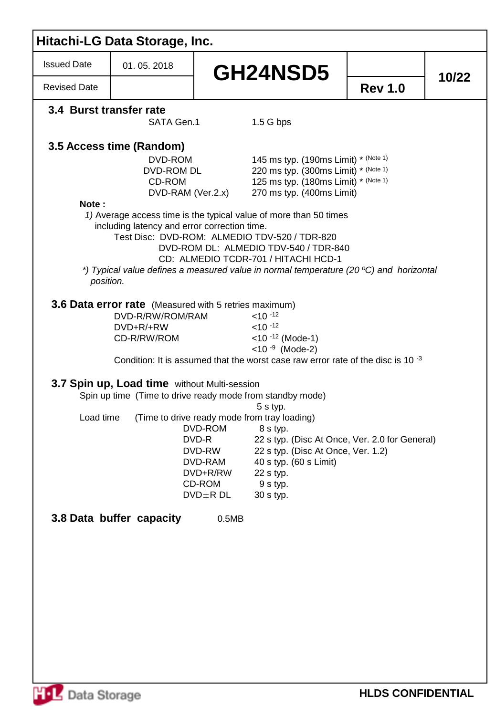| <b>Issued Date</b>      | 01.05.2018                                                  | GH24NSD5                                                                                                                                                                                                                                                                                                      |                |       |
|-------------------------|-------------------------------------------------------------|---------------------------------------------------------------------------------------------------------------------------------------------------------------------------------------------------------------------------------------------------------------------------------------------------------------|----------------|-------|
| <b>Revised Date</b>     |                                                             |                                                                                                                                                                                                                                                                                                               | <b>Rev 1.0</b> | 10/22 |
| 3.4 Burst transfer rate | SATA Gen.1                                                  | $1.5G$ bps                                                                                                                                                                                                                                                                                                    |                |       |
|                         | 3.5 Access time (Random)<br>DVD-ROM<br>DVD-ROM DL<br>CD-ROM | 145 ms typ. (190ms Limit) * (Note 1)<br>220 ms typ. (300ms Limit) * (Note 1)<br>125 ms typ. (180ms Limit) * (Note 1)                                                                                                                                                                                          |                |       |
|                         | DVD-RAM (Ver.2.x)                                           | 270 ms typ. (400ms Limit)                                                                                                                                                                                                                                                                                     |                |       |
| Note:                   | including latency and error correction time.                | 1) Average access time is the typical value of more than 50 times<br>Test Disc: DVD-ROM: ALMEDIO TDV-520 / TDR-820<br>DVD-ROM DL: ALMEDIO TDV-540 / TDR-840<br>CD: ALMEDIO TCDR-701 / HITACHI HCD-1<br>*) Typical value defines a measured value in normal temperature (20 °C) and horizontal                 |                |       |
| position.               |                                                             |                                                                                                                                                                                                                                                                                                               |                |       |
|                         | DVD-R/RW/ROM/RAM<br>DVD+R/+RW<br>CD-R/RW/ROM                | <b>3.6 Data error rate</b> (Measured with 5 retries maximum)<br>$< 10^{-12}$<br>$<$ 10 $-12$<br>$<$ 10 $-12$ (Mode-1)<br>$<$ 10 $-9$ (Mode-2)<br>Condition: It is assumed that the worst case raw error rate of the disc is 10 $^{-3}$                                                                        |                |       |
|                         | 3.7 Spin up, Load time without Multi-session                | Spin up time (Time to drive ready mode from standby mode)                                                                                                                                                                                                                                                     |                |       |
| Load time               |                                                             | 5 s typ.<br>(Time to drive ready mode from tray loading)<br>DVD-ROM<br>8 s typ.<br>DVD-R<br>22 s typ. (Disc At Once, Ver. 2.0 for General)<br>DVD-RW<br>22 s typ. (Disc At Once, Ver. 1.2)<br>DVD-RAM<br>40 s typ. (60 s Limit)<br>DVD+R/RW<br>22 s typ.<br>CD-ROM<br>9 s typ.<br>$DVD \pm R$ DL<br>30 s typ. |                |       |
|                         | 3.8 Data buffer capacity                                    | 0.5MB                                                                                                                                                                                                                                                                                                         |                |       |
|                         |                                                             |                                                                                                                                                                                                                                                                                                               |                |       |
|                         |                                                             |                                                                                                                                                                                                                                                                                                               |                |       |
|                         |                                                             |                                                                                                                                                                                                                                                                                                               |                |       |
|                         |                                                             |                                                                                                                                                                                                                                                                                                               |                |       |
|                         |                                                             |                                                                                                                                                                                                                                                                                                               |                |       |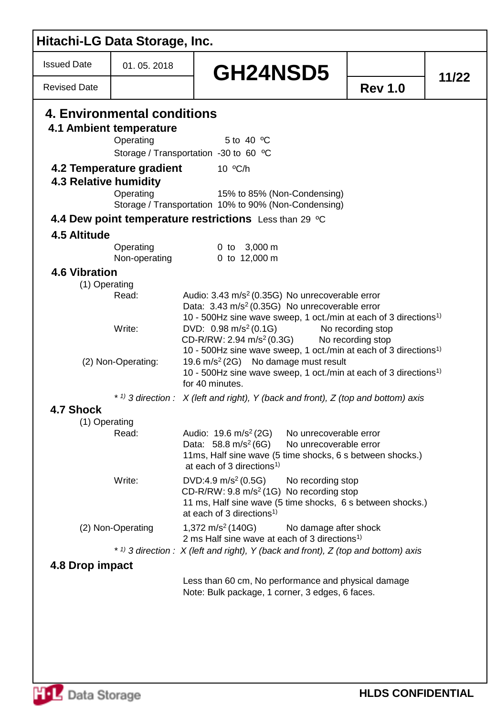| Hitachi-LG Data Storage, Inc. |                                                        |                                                                                                                                                                                                                                |                   |       |
|-------------------------------|--------------------------------------------------------|--------------------------------------------------------------------------------------------------------------------------------------------------------------------------------------------------------------------------------|-------------------|-------|
| <b>Issued Date</b>            | 01.05.2018                                             | GH24NSD5                                                                                                                                                                                                                       |                   | 11/22 |
| <b>Revised Date</b>           |                                                        |                                                                                                                                                                                                                                | <b>Rev 1.0</b>    |       |
|                               | 4. Environmental conditions<br>4.1 Ambient temperature |                                                                                                                                                                                                                                |                   |       |
|                               | Operating                                              | 5 to 40 °C                                                                                                                                                                                                                     |                   |       |
|                               |                                                        | Storage / Transportation -30 to 60 °C                                                                                                                                                                                          |                   |       |
|                               | 4.2 Temperature gradient                               | 10 °C/h                                                                                                                                                                                                                        |                   |       |
| <b>4.3 Relative humidity</b>  |                                                        |                                                                                                                                                                                                                                |                   |       |
|                               | Operating                                              | 15% to 85% (Non-Condensing)<br>Storage / Transportation 10% to 90% (Non-Condensing)                                                                                                                                            |                   |       |
|                               |                                                        | 4.4 Dew point temperature restrictions Less than 29 °C                                                                                                                                                                         |                   |       |
| 4.5 Altitude                  |                                                        |                                                                                                                                                                                                                                |                   |       |
|                               | Operating                                              | 0 to 3,000 m                                                                                                                                                                                                                   |                   |       |
|                               | Non-operating                                          | 0 to 12,000 m                                                                                                                                                                                                                  |                   |       |
| <b>4.6 Vibration</b>          |                                                        |                                                                                                                                                                                                                                |                   |       |
| (1) Operating                 |                                                        |                                                                                                                                                                                                                                |                   |       |
|                               | Read:                                                  | Audio: 3.43 m/s <sup>2</sup> (0.35G) No unrecoverable error<br>Data: 3.43 m/s <sup>2</sup> (0.35G) No unrecoverable error<br>10 - 500Hz sine wave sweep, 1 oct./min at each of 3 directions <sup>1)</sup>                      |                   |       |
|                               | Write:                                                 | DVD: $0.98 \text{ m/s}^2 (0.1G)$<br>CD-R/RW: 2.94 m/s <sup>2</sup> (0.3G) No recording stop<br>10 - 500Hz sine wave sweep, 1 oct./min at each of 3 directions <sup>1)</sup>                                                    | No recording stop |       |
|                               | (2) Non-Operating:                                     | 19.6 m/s <sup>2</sup> (2G) No damage must result<br>10 - 500Hz sine wave sweep, 1 oct./min at each of 3 directions <sup>1)</sup><br>for 40 minutes.                                                                            |                   |       |
|                               |                                                        | * 1) 3 direction : $X$ (left and right), Y (back and front), Z (top and bottom) axis                                                                                                                                           |                   |       |
| 4.7 Shock                     |                                                        |                                                                                                                                                                                                                                |                   |       |
| (1) Operating                 |                                                        |                                                                                                                                                                                                                                |                   |       |
|                               | Read:                                                  | Audio: $19.6 \text{ m/s}^2 (2G)$<br>No unrecoverable error<br>Data: 58.8 m/s <sup>2</sup> (6G)<br>No unrecoverable error<br>11ms, Half sine wave (5 time shocks, 6 s between shocks.)<br>at each of 3 directions <sup>1)</sup> |                   |       |
|                               | Write:                                                 | DVD:4.9 m/s <sup>2</sup> (0.5G)<br>No recording stop<br>$CD-R/RW: 9.8 m/s2(1G)$ No recording stop<br>11 ms, Half sine wave (5 time shocks, 6 s between shocks.)<br>at each of 3 directions <sup>1)</sup>                       |                   |       |
|                               | (2) Non-Operating                                      | 1,372 m/s <sup>2</sup> (140G)<br>No damage after shock<br>2 ms Half sine wave at each of 3 directions <sup>1)</sup>                                                                                                            |                   |       |
|                               |                                                        | * 1) 3 direction : $X$ (left and right), Y (back and front), Z (top and bottom) axis                                                                                                                                           |                   |       |
| 4.8 Drop impact               |                                                        |                                                                                                                                                                                                                                |                   |       |
|                               |                                                        | Less than 60 cm, No performance and physical damage<br>Note: Bulk package, 1 corner, 3 edges, 6 faces.                                                                                                                         |                   |       |
|                               |                                                        |                                                                                                                                                                                                                                |                   |       |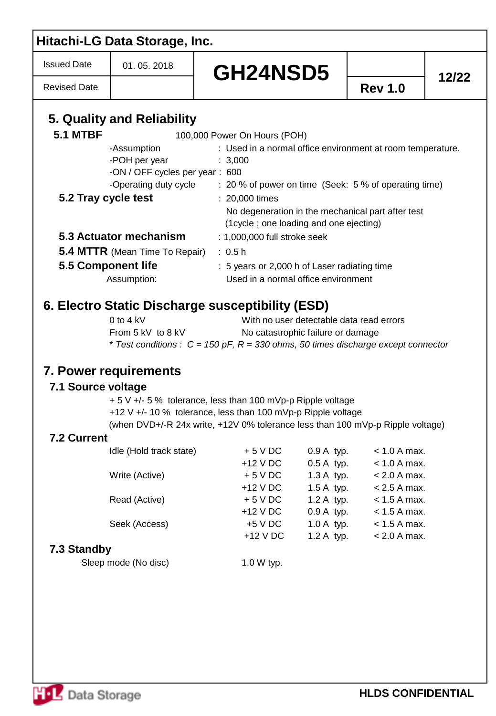| <b>Rev 1.0</b><br><b>5.1 MTBF</b><br>100,000 Power On Hours (POH)<br>-Assumption<br>: Used in a normal office environment at room temperature.<br>-POH per year<br>: 3,000<br>-ON / OFF cycles per year: 600<br>-Operating duty cycle : 20 % of power on time (Seek: 5 % of operating time)<br>5.2 Tray cycle test<br>: 20,000 times<br>No degeneration in the mechanical part after test<br>(1 cycle; one loading and one ejecting)<br>5.3 Actuator mechanism<br>: 1,000,000 full stroke seek<br><b>5.4 MTTR</b> (Mean Time To Repair)<br>: 0.5 h<br>5.5 Component life<br>: 5 years or 2,000 h of Laser radiating time<br>Used in a normal office environment<br>Assumption:<br>0 to 4 $kV$<br>With no user detectable data read errors<br>From 5 kV to 8 kV<br>No catastrophic failure or damage<br>* Test conditions : $C = 150$ pF, R = 330 ohms, 50 times discharge except connector<br>+ 5 V +/- 5 % tolerance, less than 100 mVp-p Ripple voltage<br>+12 V +/- 10 % tolerance, less than 100 mVp-p Ripple voltage<br>(when DVD+/-R 24x write, +12V 0% tolerance less than 100 mVp-p Ripple voltage)<br>7.2 Current<br>Idle (Hold track state)<br>$+5$ V DC<br>$0.9A$ typ.<br>$< 1.0 A max$ .<br>$0.5A$ typ.<br>$+12$ V DC<br>$< 1.0 A max$ .<br>Write (Active)<br>$+5$ V DC<br>1.3 A typ.<br>$< 2.0 A max$ .<br>1.5 A typ.<br>$+12$ V DC<br>$< 2.5$ A max.<br>Read (Active)<br>1.2 A typ.<br>$+5$ V DC<br>$< 1.5$ A max.<br>$0.9A$ typ.<br>$+12$ V DC<br>$< 1.5$ A max.<br>Seek (Access)<br>$1.0 A$ typ.<br>$+5$ V DC<br>$< 1.5$ A max.<br>+12 V DC<br>1.2 A typ.<br>$< 2.0 A max$ .<br>7.3 Standby<br>Sleep mode (No disc)<br>1.0 W typ. | <b>Issued Date</b>  | 01.05.2018 | GH24NSD5 |       |
|---------------------------------------------------------------------------------------------------------------------------------------------------------------------------------------------------------------------------------------------------------------------------------------------------------------------------------------------------------------------------------------------------------------------------------------------------------------------------------------------------------------------------------------------------------------------------------------------------------------------------------------------------------------------------------------------------------------------------------------------------------------------------------------------------------------------------------------------------------------------------------------------------------------------------------------------------------------------------------------------------------------------------------------------------------------------------------------------------------------------------------------------------------------------------------------------------------------------------------------------------------------------------------------------------------------------------------------------------------------------------------------------------------------------------------------------------------------------------------------------------------------------------------------------------------------------------------------------------------------------------------------------------|---------------------|------------|----------|-------|
| 5. Quality and Reliability<br>7.1 Source voltage                                                                                                                                                                                                                                                                                                                                                                                                                                                                                                                                                                                                                                                                                                                                                                                                                                                                                                                                                                                                                                                                                                                                                                                                                                                                                                                                                                                                                                                                                                                                                                                                  | <b>Revised Date</b> |            |          | 12/22 |
|                                                                                                                                                                                                                                                                                                                                                                                                                                                                                                                                                                                                                                                                                                                                                                                                                                                                                                                                                                                                                                                                                                                                                                                                                                                                                                                                                                                                                                                                                                                                                                                                                                                   |                     |            |          |       |
|                                                                                                                                                                                                                                                                                                                                                                                                                                                                                                                                                                                                                                                                                                                                                                                                                                                                                                                                                                                                                                                                                                                                                                                                                                                                                                                                                                                                                                                                                                                                                                                                                                                   |                     |            |          |       |
|                                                                                                                                                                                                                                                                                                                                                                                                                                                                                                                                                                                                                                                                                                                                                                                                                                                                                                                                                                                                                                                                                                                                                                                                                                                                                                                                                                                                                                                                                                                                                                                                                                                   |                     |            |          |       |
|                                                                                                                                                                                                                                                                                                                                                                                                                                                                                                                                                                                                                                                                                                                                                                                                                                                                                                                                                                                                                                                                                                                                                                                                                                                                                                                                                                                                                                                                                                                                                                                                                                                   |                     |            |          |       |
|                                                                                                                                                                                                                                                                                                                                                                                                                                                                                                                                                                                                                                                                                                                                                                                                                                                                                                                                                                                                                                                                                                                                                                                                                                                                                                                                                                                                                                                                                                                                                                                                                                                   |                     |            |          |       |
|                                                                                                                                                                                                                                                                                                                                                                                                                                                                                                                                                                                                                                                                                                                                                                                                                                                                                                                                                                                                                                                                                                                                                                                                                                                                                                                                                                                                                                                                                                                                                                                                                                                   |                     |            |          |       |
|                                                                                                                                                                                                                                                                                                                                                                                                                                                                                                                                                                                                                                                                                                                                                                                                                                                                                                                                                                                                                                                                                                                                                                                                                                                                                                                                                                                                                                                                                                                                                                                                                                                   |                     |            |          |       |
|                                                                                                                                                                                                                                                                                                                                                                                                                                                                                                                                                                                                                                                                                                                                                                                                                                                                                                                                                                                                                                                                                                                                                                                                                                                                                                                                                                                                                                                                                                                                                                                                                                                   |                     |            |          |       |
|                                                                                                                                                                                                                                                                                                                                                                                                                                                                                                                                                                                                                                                                                                                                                                                                                                                                                                                                                                                                                                                                                                                                                                                                                                                                                                                                                                                                                                                                                                                                                                                                                                                   |                     |            |          |       |
|                                                                                                                                                                                                                                                                                                                                                                                                                                                                                                                                                                                                                                                                                                                                                                                                                                                                                                                                                                                                                                                                                                                                                                                                                                                                                                                                                                                                                                                                                                                                                                                                                                                   |                     |            |          |       |
|                                                                                                                                                                                                                                                                                                                                                                                                                                                                                                                                                                                                                                                                                                                                                                                                                                                                                                                                                                                                                                                                                                                                                                                                                                                                                                                                                                                                                                                                                                                                                                                                                                                   |                     |            |          |       |
| 6. Electro Static Discharge susceptibility (ESD)<br><b>7. Power requirements</b>                                                                                                                                                                                                                                                                                                                                                                                                                                                                                                                                                                                                                                                                                                                                                                                                                                                                                                                                                                                                                                                                                                                                                                                                                                                                                                                                                                                                                                                                                                                                                                  |                     |            |          |       |
|                                                                                                                                                                                                                                                                                                                                                                                                                                                                                                                                                                                                                                                                                                                                                                                                                                                                                                                                                                                                                                                                                                                                                                                                                                                                                                                                                                                                                                                                                                                                                                                                                                                   |                     |            |          |       |
|                                                                                                                                                                                                                                                                                                                                                                                                                                                                                                                                                                                                                                                                                                                                                                                                                                                                                                                                                                                                                                                                                                                                                                                                                                                                                                                                                                                                                                                                                                                                                                                                                                                   |                     |            |          |       |
|                                                                                                                                                                                                                                                                                                                                                                                                                                                                                                                                                                                                                                                                                                                                                                                                                                                                                                                                                                                                                                                                                                                                                                                                                                                                                                                                                                                                                                                                                                                                                                                                                                                   |                     |            |          |       |
|                                                                                                                                                                                                                                                                                                                                                                                                                                                                                                                                                                                                                                                                                                                                                                                                                                                                                                                                                                                                                                                                                                                                                                                                                                                                                                                                                                                                                                                                                                                                                                                                                                                   |                     |            |          |       |
|                                                                                                                                                                                                                                                                                                                                                                                                                                                                                                                                                                                                                                                                                                                                                                                                                                                                                                                                                                                                                                                                                                                                                                                                                                                                                                                                                                                                                                                                                                                                                                                                                                                   |                     |            |          |       |
|                                                                                                                                                                                                                                                                                                                                                                                                                                                                                                                                                                                                                                                                                                                                                                                                                                                                                                                                                                                                                                                                                                                                                                                                                                                                                                                                                                                                                                                                                                                                                                                                                                                   |                     |            |          |       |
|                                                                                                                                                                                                                                                                                                                                                                                                                                                                                                                                                                                                                                                                                                                                                                                                                                                                                                                                                                                                                                                                                                                                                                                                                                                                                                                                                                                                                                                                                                                                                                                                                                                   |                     |            |          |       |
|                                                                                                                                                                                                                                                                                                                                                                                                                                                                                                                                                                                                                                                                                                                                                                                                                                                                                                                                                                                                                                                                                                                                                                                                                                                                                                                                                                                                                                                                                                                                                                                                                                                   |                     |            |          |       |
|                                                                                                                                                                                                                                                                                                                                                                                                                                                                                                                                                                                                                                                                                                                                                                                                                                                                                                                                                                                                                                                                                                                                                                                                                                                                                                                                                                                                                                                                                                                                                                                                                                                   |                     |            |          |       |
|                                                                                                                                                                                                                                                                                                                                                                                                                                                                                                                                                                                                                                                                                                                                                                                                                                                                                                                                                                                                                                                                                                                                                                                                                                                                                                                                                                                                                                                                                                                                                                                                                                                   |                     |            |          |       |
|                                                                                                                                                                                                                                                                                                                                                                                                                                                                                                                                                                                                                                                                                                                                                                                                                                                                                                                                                                                                                                                                                                                                                                                                                                                                                                                                                                                                                                                                                                                                                                                                                                                   |                     |            |          |       |
|                                                                                                                                                                                                                                                                                                                                                                                                                                                                                                                                                                                                                                                                                                                                                                                                                                                                                                                                                                                                                                                                                                                                                                                                                                                                                                                                                                                                                                                                                                                                                                                                                                                   |                     |            |          |       |
|                                                                                                                                                                                                                                                                                                                                                                                                                                                                                                                                                                                                                                                                                                                                                                                                                                                                                                                                                                                                                                                                                                                                                                                                                                                                                                                                                                                                                                                                                                                                                                                                                                                   |                     |            |          |       |
|                                                                                                                                                                                                                                                                                                                                                                                                                                                                                                                                                                                                                                                                                                                                                                                                                                                                                                                                                                                                                                                                                                                                                                                                                                                                                                                                                                                                                                                                                                                                                                                                                                                   |                     |            |          |       |
|                                                                                                                                                                                                                                                                                                                                                                                                                                                                                                                                                                                                                                                                                                                                                                                                                                                                                                                                                                                                                                                                                                                                                                                                                                                                                                                                                                                                                                                                                                                                                                                                                                                   |                     |            |          |       |
|                                                                                                                                                                                                                                                                                                                                                                                                                                                                                                                                                                                                                                                                                                                                                                                                                                                                                                                                                                                                                                                                                                                                                                                                                                                                                                                                                                                                                                                                                                                                                                                                                                                   |                     |            |          |       |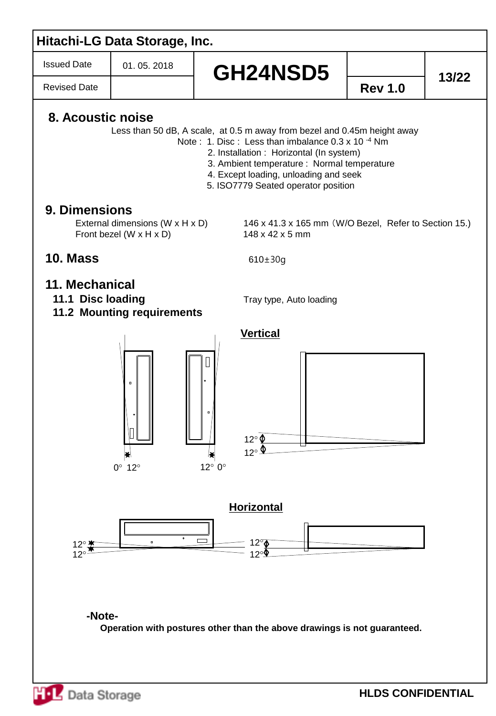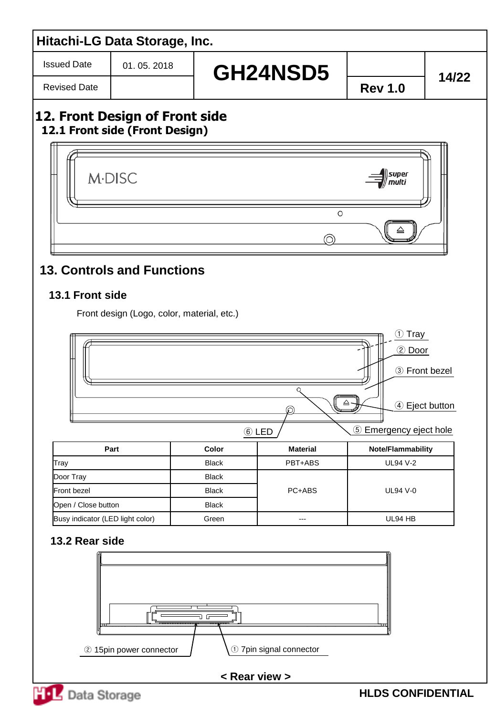Issued Date

Revised Date

01. 05. 2018

# GH24NSD5 **14/22**

## **12. Front Design of Front side 12.1 Front side (Front Design)**



## **13. Controls and Functions**

## **13.1 Front side**

Front design (Logo, color, material, etc.)



## **13.2 Rear side**



#### **< Rear view >**



**HLDS CONFIDENTIAL**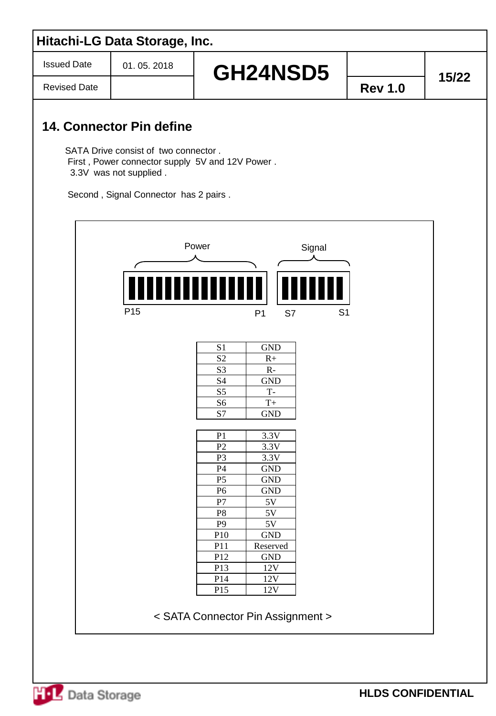Issued Date

Revised Date

# **GH24NSD5**  $\begin{array}{|c|c|c|c|c|}\n\hline\n\text{--} & \text{15/22}\n\end{array}$

## **14. Connector Pin define**

SATA Drive consist of two connector . First , Power connector supply 5V and 12V Power . 3.3V was not supplied .

Second , Signal Connector has 2 pairs .

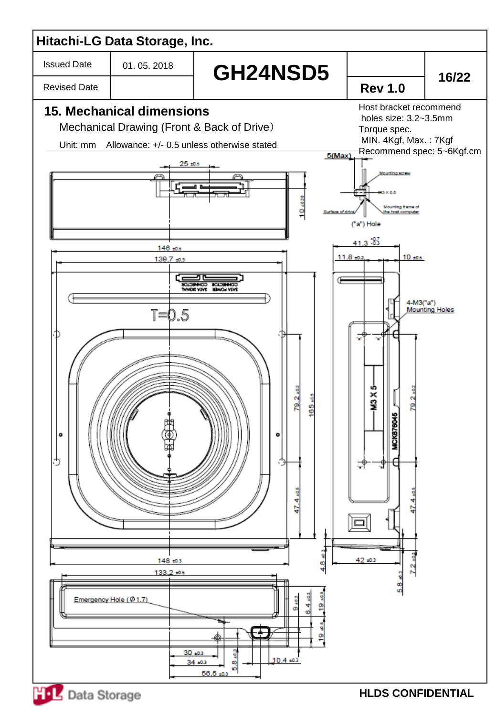

**HLDS CONFIDENTIAL**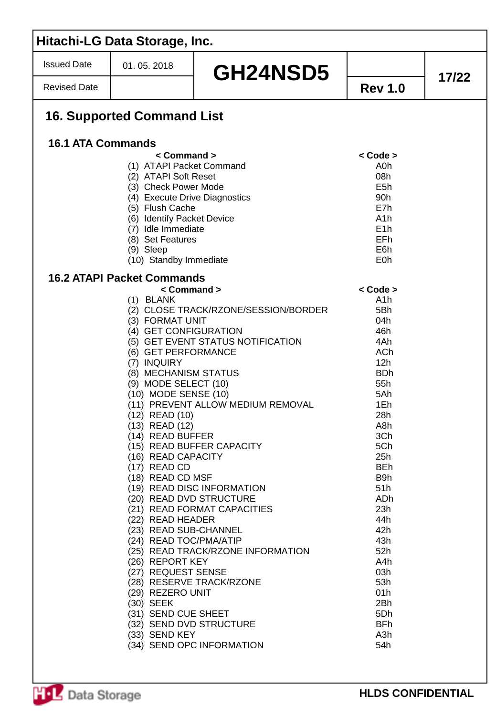|                          | Hitachi-LG Data Storage, Inc.                                                                                                                                                                                                                                                                                                                                                                                                                                                                                                                             |                                                                                                                                                                                                                                                                                                        |                                                                                                                                                                                                                                                                                        |       |
|--------------------------|-----------------------------------------------------------------------------------------------------------------------------------------------------------------------------------------------------------------------------------------------------------------------------------------------------------------------------------------------------------------------------------------------------------------------------------------------------------------------------------------------------------------------------------------------------------|--------------------------------------------------------------------------------------------------------------------------------------------------------------------------------------------------------------------------------------------------------------------------------------------------------|----------------------------------------------------------------------------------------------------------------------------------------------------------------------------------------------------------------------------------------------------------------------------------------|-------|
| <b>Issued Date</b>       | 01.05.2018                                                                                                                                                                                                                                                                                                                                                                                                                                                                                                                                                | GH24NSD5                                                                                                                                                                                                                                                                                               |                                                                                                                                                                                                                                                                                        | 17/22 |
| <b>Revised Date</b>      |                                                                                                                                                                                                                                                                                                                                                                                                                                                                                                                                                           |                                                                                                                                                                                                                                                                                                        | <b>Rev 1.0</b>                                                                                                                                                                                                                                                                         |       |
|                          | <b>16. Supported Command List</b>                                                                                                                                                                                                                                                                                                                                                                                                                                                                                                                         |                                                                                                                                                                                                                                                                                                        |                                                                                                                                                                                                                                                                                        |       |
| <b>16.1 ATA Commands</b> |                                                                                                                                                                                                                                                                                                                                                                                                                                                                                                                                                           |                                                                                                                                                                                                                                                                                                        |                                                                                                                                                                                                                                                                                        |       |
|                          | $<$ Command $>$<br>(1) ATAPI Packet Command<br>(2) ATAPI Soft Reset<br>(3) Check Power Mode<br>(4) Execute Drive Diagnostics<br>(5) Flush Cache<br>(6) Identify Packet Device<br>(7) Idle Immediate<br>(8) Set Features<br>(9) Sleep<br>(10) Standby Immediate                                                                                                                                                                                                                                                                                            |                                                                                                                                                                                                                                                                                                        | $<$ Code $>$<br>A0h<br>08h<br>E5h<br>90h<br>E7h<br>A1h<br>E <sub>1</sub> h<br>EFh<br>E6h<br>E <sub>0</sub> h                                                                                                                                                                           |       |
|                          | <b>16.2 ATAPI Packet Commands</b>                                                                                                                                                                                                                                                                                                                                                                                                                                                                                                                         |                                                                                                                                                                                                                                                                                                        |                                                                                                                                                                                                                                                                                        |       |
|                          | < Command ><br>$(1)$ BLANK<br>(3) FORMAT UNIT<br>(4) GET CONFIGURATION<br>(6) GET PERFORMANCE<br>(7) INQUIRY<br>(8) MECHANISM STATUS<br>$(9)$ MODE SELECT $(10)$<br>(10) MODE SENSE (10)<br>(12) READ (10)<br>(13) READ (12)<br>(14) READ BUFFER<br>(16) READ CAPACITY<br>(17) READ CD<br>(18) READ CD MSF<br>(20) READ DVD STRUCTURE<br>(22) READ HEADER<br>(23) READ SUB-CHANNEL<br>(24) READ TOC/PMA/ATIP<br>(26) REPORT KEY<br>(27) REQUEST SENSE<br>(29) REZERO UNIT<br>(30) SEEK<br>(31) SEND CUE SHEET<br>(32) SEND DVD STRUCTURE<br>(33) SEND KEY | (2) CLOSE TRACK/RZONE/SESSION/BORDER<br>(5) GET EVENT STATUS NOTIFICATION<br>(11) PREVENT ALLOW MEDIUM REMOVAL<br>(15) READ BUFFER CAPACITY<br>(19) READ DISC INFORMATION<br>(21) READ FORMAT CAPACITIES<br>(25) READ TRACK/RZONE INFORMATION<br>(28) RESERVE TRACK/RZONE<br>(34) SEND OPC INFORMATION | $<$ Code $>$<br>A1h<br>5Bh<br>04h<br>46h<br>4Ah<br><b>ACh</b><br>12h<br><b>BDh</b><br>55h<br>5Ah<br>1Eh<br>28h<br>A8h<br>3Ch<br>5Ch<br>25h<br><b>BEh</b><br>B9h<br>51h<br>ADh<br>23h<br>44h<br>42h<br>43h<br>52h<br>A4h<br>03h<br>53h<br>01h<br>2Bh<br>5Dh<br><b>BFh</b><br>A3h<br>54h |       |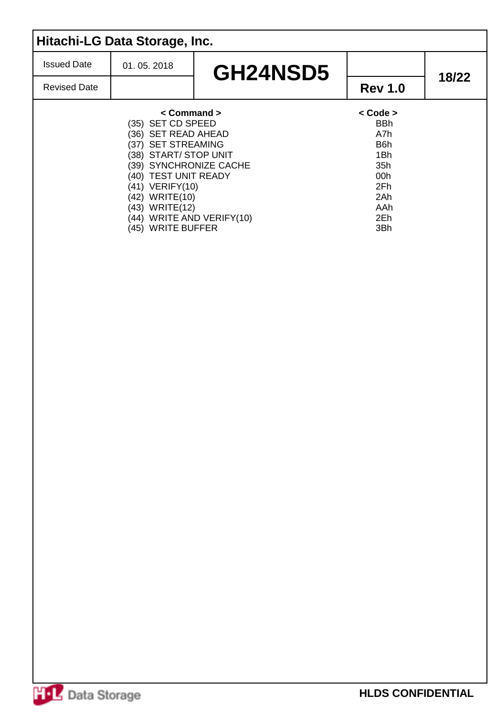| Hitachi-LG Data Storage, Inc. |                                                                                                                                                                                                                                                                             |          |                                                                                              |       |  |  |  |
|-------------------------------|-----------------------------------------------------------------------------------------------------------------------------------------------------------------------------------------------------------------------------------------------------------------------------|----------|----------------------------------------------------------------------------------------------|-------|--|--|--|
| <b>Issued Date</b>            | 01.05.2018                                                                                                                                                                                                                                                                  | GH24NSD5 |                                                                                              |       |  |  |  |
| <b>Revised Date</b>           |                                                                                                                                                                                                                                                                             |          | <b>Rev 1.0</b>                                                                               | 18/22 |  |  |  |
|                               | $\leq$ Command $\geq$<br>(35) SET CD SPEED<br>(36) SET READ AHEAD<br>(37) SET STREAMING<br>(38) START/ STOP UNIT<br>(39) SYNCHRONIZE CACHE<br>(40) TEST UNIT READY<br>(41) VERIFY(10)<br>(42) WRITE(10)<br>(43) WRITE(12)<br>(44) WRITE AND VERIFY(10)<br>(45) WRITE BUFFER |          | < Code ><br><b>BBh</b><br>A7h<br>B6h<br>1Bh<br>35h<br>00h<br>2Fh<br>2Ah<br>AAh<br>2Eh<br>3Bh |       |  |  |  |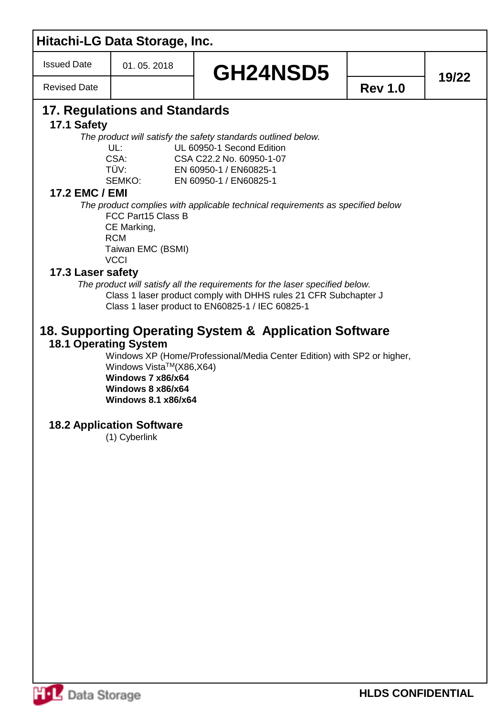| <b>Issued Date</b><br><b>Revised Date</b>                 | 01.05.2018                                                                                                                                                                                                                            | GH24NSD5                                                                                                                                                                                                                                                                                                                                                                                                                                                                                                                                                                                                  | <b>Rev 1.0</b> |       |
|-----------------------------------------------------------|---------------------------------------------------------------------------------------------------------------------------------------------------------------------------------------------------------------------------------------|-----------------------------------------------------------------------------------------------------------------------------------------------------------------------------------------------------------------------------------------------------------------------------------------------------------------------------------------------------------------------------------------------------------------------------------------------------------------------------------------------------------------------------------------------------------------------------------------------------------|----------------|-------|
|                                                           |                                                                                                                                                                                                                                       |                                                                                                                                                                                                                                                                                                                                                                                                                                                                                                                                                                                                           |                | 19/22 |
| 17.1 Safety<br><b>17.2 EMC / EMI</b><br>17.3 Laser safety | 17. Regulations and Standards<br>UL:<br>CSA:<br>TÜV:<br>SEMKO:<br>FCC Part15 Class B<br>CE Marking,<br><b>RCM</b><br>Taiwan EMC (BSMI)<br><b>VCCI</b><br><b>18.1 Operating System</b><br>Windows Vista™(X86,X64)<br>Windows 7 x86/x64 | The product will satisfy the safety standards outlined below.<br>UL 60950-1 Second Edition<br>CSA C22.2 No. 60950-1-07<br>EN 60950-1 / EN60825-1<br>EN 60950-1 / EN60825-1<br>The product complies with applicable technical requirements as specified below<br>The product will satisfy all the requirements for the laser specified below.<br>Class 1 laser product comply with DHHS rules 21 CFR Subchapter J<br>Class 1 laser product to EN60825-1 / IEC 60825-1<br>18. Supporting Operating System & Application Software<br>Windows XP (Home/Professional/Media Center Edition) with SP2 or higher, |                |       |
|                                                           | Windows 8 x86/x64<br><b>Windows 8.1 x86/x64</b>                                                                                                                                                                                       |                                                                                                                                                                                                                                                                                                                                                                                                                                                                                                                                                                                                           |                |       |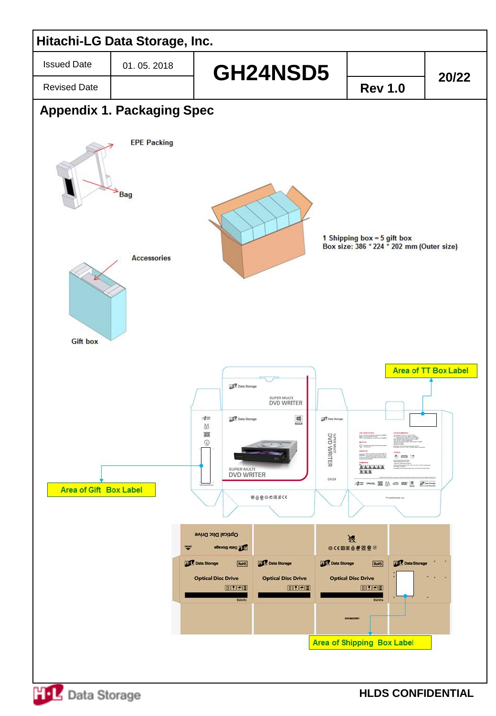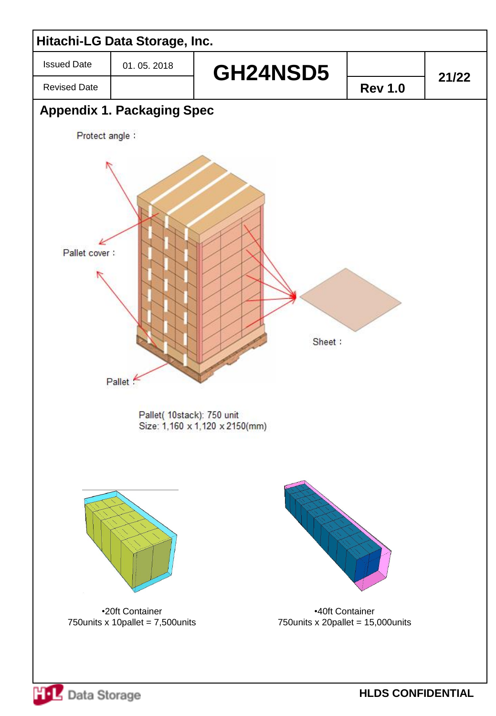

**HOL** Data Storage